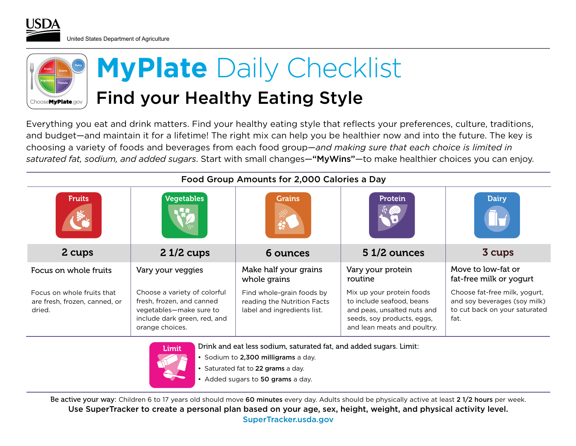United States Department of Agriculture



Everything you eat and drink matters. Find your healthy eating style that reflects your preferences, culture, traditions, and budget—and maintain it for a lifetime! The right mix can help you be healthier now and into the future. The key is choosing a variety of foods and beverages from each food group—*and making sure that each choice is limited in saturated fat, sodium, and added sugars*. Start with small changes—"MyWins"—to make healthier choices you can enjoy.

| Food Group Amounts for 2,000 Calories a Day                           |                                                                                                                                         |                                                                                         |                                                                                                                                                    |                                                                                                        |  |  |  |
|-----------------------------------------------------------------------|-----------------------------------------------------------------------------------------------------------------------------------------|-----------------------------------------------------------------------------------------|----------------------------------------------------------------------------------------------------------------------------------------------------|--------------------------------------------------------------------------------------------------------|--|--|--|
| <b>Fruits</b>                                                         | Vegetables                                                                                                                              | Grains<br>鐒                                                                             | <b>Protein</b>                                                                                                                                     | <b>Dairy</b>                                                                                           |  |  |  |
| 2 cups                                                                | $21/2$ cups                                                                                                                             | 6 ounces                                                                                | 51/2 ounces                                                                                                                                        | 3 cups                                                                                                 |  |  |  |
| Focus on whole fruits                                                 | Vary your veggies                                                                                                                       | Make half your grains<br>whole grains                                                   | Vary your protein<br>routine                                                                                                                       | Move to low-fat or<br>fat-free milk or yogurt                                                          |  |  |  |
| Focus on whole fruits that<br>are fresh, frozen, canned, or<br>dried. | Choose a variety of colorful<br>fresh, frozen, and canned<br>vegetables-make sure to<br>include dark green, red, and<br>orange choices. | Find whole-grain foods by<br>reading the Nutrition Facts<br>label and ingredients list. | Mix up your protein foods<br>to include seafood, beans<br>and peas, unsalted nuts and<br>seeds, soy products, eggs,<br>and lean meats and poultry. | Choose fat-free milk, yogurt,<br>and soy beverages (soy milk)<br>to cut back on your saturated<br>fat. |  |  |  |



Drink and eat less sodium, saturated fat, and added sugars. Limit:

- Sodium to 2,300 milligrams a day.
- Saturated fat to 22 grams a day.
- Added sugars to 50 grams a day.

Be active your way: Children 6 to 17 years old should move 60 minutes every day. Adults should be physically active at least 2 1/2 hours per week. Use SuperTracker to create a personal plan based on your age, sex, height, weight, and physical activity level. SuperTracker.usda.gov